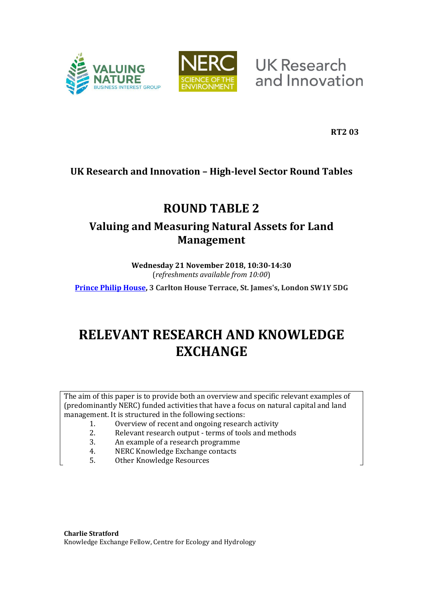



**UK Research** and Innovation

**RT2 03**

# **UK Research and Innovation – High-level Sector Round Tables**

# **ROUND TABLE 2**

# **Valuing and Measuring Natural Assets for Land Management**

**Wednesday 21 November 2018, 10:30-14:30** (*refreshments available from 10:00*)

**[Prince Philip House,](http://www.princephiliphouse.com/) 3 Carlton House Terrace, St. James's, London SW1Y 5DG**

# **RELEVANT RESEARCH AND KNOWLEDGE EXCHANGE**

The aim of this paper is to provide both an overview and specific relevant examples of (predominantly NERC) funded activities that have a focus on natural capital and land management. It is structured in the following sections:

- 1. Overview of recent and ongoing research activity
- 2. Relevant research output terms of tools and methods
- 3. An example of a research programme
- 4. NERC Knowledge Exchange contacts
- 5. Other Knowledge Resources

**Charlie Stratford** Knowledge Exchange Fellow, Centre for Ecology and Hydrology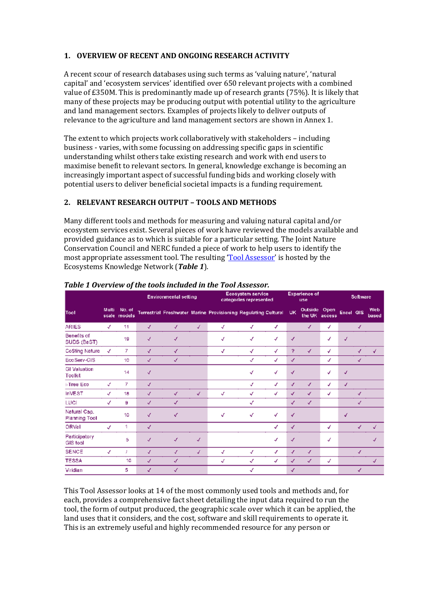### **1. OVERVIEW OF RECENT AND ONGOING RESEARCH ACTIVITY**

A recent scour of research databases using such terms as 'valuing nature', 'natural capital' and 'ecosystem services' identified over 650 relevant projects with a combined value of £350M. This is predominantly made up of research grants (75%). It is likely that many of these projects may be producing output with potential utility to the agriculture and land management sectors. Examples of projects likely to deliver outputs of relevance to the agriculture and land management sectors are shown in Annex 1.

The extent to which projects work collaboratively with stakeholders – including business - varies, with some focussing on addressing specific gaps in scientific understanding whilst others take existing research and work with end users to maximise benefit to relevant sectors. In general, knowledge exchange is becoming an increasingly important aspect of successful funding bids and working closely with potential users to deliver beneficial societal impacts is a funding requirement.

## **2. RELEVANT RESEARCH OUTPUT – TOOLS AND METHODS**

Many different tools and methods for measuring and valuing natural capital and/or ecosystem services exist. Several pieces of work have reviewed the models available and provided guidance as to which is suitable for a particular setting. The Joint Nature Conservation Council and NERC funded a piece of work to help users to identify the most appropriate assessment tool. The resulting '[Tool Assessor](https://ecosystemsknowledge.net/resources/guidance-and-tools/tools/tool-assessor)' is hosted by the Ecosystems Knowledge Network (*Table 1*).

|                                      |                |                  |              | <b>Environmental setting</b> |   |                                                                | <b>Ecosystem service</b><br>categories represented |   |              | <b>Experience of</b><br>use |                |                  | <b>Software</b> |              |  |
|--------------------------------------|----------------|------------------|--------------|------------------------------|---|----------------------------------------------------------------|----------------------------------------------------|---|--------------|-----------------------------|----------------|------------------|-----------------|--------------|--|
| Tool                                 | Multi<br>scale | No. of<br>models |              |                              |   | Terrestrial Freshwater Marine Provisioning Regulating Cultural |                                                    |   | <b>UK</b>    | <b>Outside</b><br>the UK    | Open<br>access | <b>Excel GIS</b> |                 | Web<br>based |  |
| <b>ARIES</b>                         | √              | 11               | √            | √                            | √ | √                                                              | √                                                  | √ |              | √                           | √              |                  | √               |              |  |
| Benefits of<br>SUDS (BeST)           |                | 19               | √            | ✓                            |   | $\checkmark$                                                   | ✓                                                  | √ | √            |                             | $\checkmark$   | √                |                 |              |  |
| <b>CoSting Nature</b>                | √              | 7                | $\checkmark$ | √                            |   | √                                                              | √                                                  | √ | ?            | ✓                           | ✓              |                  | √               | √            |  |
| EcoServ-GIS                          |                | 10               | √            | √                            |   |                                                                | √                                                  | √ | $\checkmark$ |                             | √              |                  | √               |              |  |
| <b>GI Valuation</b><br>Toolkit       |                | 14               | $\checkmark$ |                              |   |                                                                | √                                                  | √ | $\checkmark$ |                             | √              | √                |                 |              |  |
| i-Tree Eco                           | √              | 7                | $\checkmark$ |                              |   |                                                                | √                                                  | √ | $\checkmark$ | $\checkmark$                | √              | $\checkmark$     |                 |              |  |
| <b>InVEST</b>                        | √              | 18               | √            | √                            | √ | √                                                              | √                                                  | √ | $\checkmark$ | ✓                           | √              |                  | √               |              |  |
| LUCI                                 | √              | 9                | $\sqrt{}$    | $\checkmark$                 |   |                                                                | √                                                  |   | √            | √                           |                |                  | √               |              |  |
| Natural Cap.<br><b>Planning Tool</b> |                | 10               | √            | √                            |   | √                                                              | √                                                  | √ | √            |                             |                | √                |                 |              |  |
| ORVal                                | $\checkmark$   | 1                | √            |                              |   |                                                                |                                                    | √ | √            |                             | √              |                  | J               | √            |  |
| Participatory<br><b>GIS tool</b>     |                | 5                | √            | √                            | J |                                                                |                                                    | √ | √            |                             | √              |                  |                 | J            |  |
| <b>SENCE</b>                         | √              |                  | J            | J                            | J | $\checkmark$                                                   | √                                                  | ✓ | $\checkmark$ | √                           |                |                  | $\sqrt{2}$      |              |  |
| <b>TESSA</b>                         |                | 10               | $\sqrt{2}$   | $\checkmark$                 |   | √                                                              | ✓                                                  | ✓ | √            | √                           | √              |                  |                 | √            |  |
| Viridian                             |                | 5                | √            | √                            |   |                                                                | √                                                  |   | $\checkmark$ |                             |                |                  | √               |              |  |

#### *Table 1 Overview of the tools included in the Tool Assessor.*

This Tool Assessor looks at 14 of the most commonly used tools and methods and, for each, provides a comprehensive fact sheet detailing the input data required to run the tool, the form of output produced, the geographic scale over which it can be applied, the land uses that it considers, and the cost, software and skill requirements to operate it. This is an extremely useful and highly recommended resource for any person or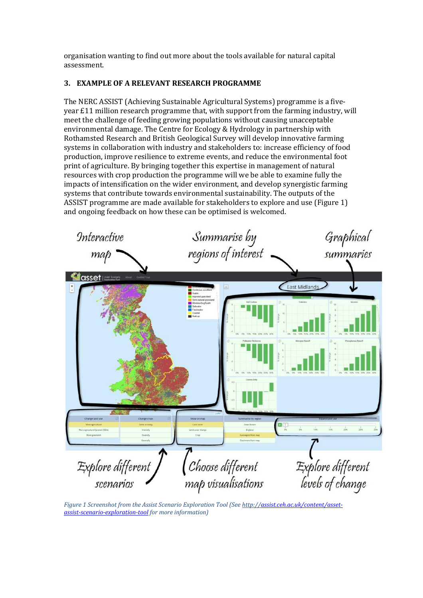organisation wanting to find out more about the tools available for natural capital assessment.

## **3. EXAMPLE OF A RELEVANT RESEARCH PROGRAMME**

The NERC ASSIST (Achieving Sustainable Agricultural Systems) programme is a fiveyear £11 million research programme that, with support from the farming industry, will meet the challenge of feeding growing populations without causing unacceptable environmental damage. The Centre for Ecology & Hydrology in partnership with Rothamsted Research and British Geological Survey will develop innovative farming systems in collaboration with industry and stakeholders to: increase efficiency of food production, improve resilience to extreme events, and reduce the environmental foot print of agriculture. By bringing together this expertise in management of natural resources with crop production the programme will we be able to examine fully the impacts of intensification on the wider environment, and develop synergistic farming systems that contribute towards environmental sustainability. The outputs of the ASSIST programme are made available for stakeholders to explore and use [\(Figure 1\)](#page-2-0) and ongoing feedback on how these can be optimised is welcomed.

<span id="page-2-0"></span>

*Figure 1 Screenshot from the Assist Scenario Exploration Tool (See http:/[/assist.ceh.ac.uk/content/asset](http://assist.ceh.ac.uk/content/asset-assist-scenario-exploration-tool)[assist-scenario-exploration-tool](http://assist.ceh.ac.uk/content/asset-assist-scenario-exploration-tool) for more information)*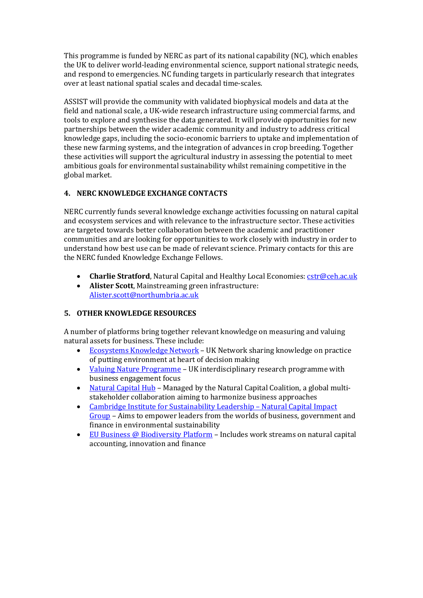This programme is funded by NERC as part of its national capability (NC), which enables the UK to deliver world-leading environmental science, support national strategic needs, and respond to emergencies. NC funding targets in particularly research that integrates over at least national spatial scales and decadal time-scales.

ASSIST will provide the community with validated biophysical models and data at the field and national scale, a UK-wide research infrastructure using commercial farms, and tools to explore and synthesise the data generated. It will provide opportunities for new partnerships between the wider academic community and industry to address critical knowledge gaps, including the socio-economic barriers to uptake and implementation of these new farming systems, and the integration of advances in crop breeding. Together these activities will support the agricultural industry in assessing the potential to meet ambitious goals for environmental sustainability whilst remaining competitive in the global market.

# **4. NERC KNOWLEDGE EXCHANGE CONTACTS**

NERC currently funds several knowledge exchange activities focussing on natural capital and ecosystem services and with relevance to the infrastructure sector. These activities are targeted towards better collaboration between the academic and practitioner communities and are looking for opportunities to work closely with industry in order to understand how best use can be made of relevant science. Primary contacts for this are the NERC funded Knowledge Exchange Fellows.

- **Charlie Stratford**, Natural Capital and Healthy Local Economies: [cstr@ceh.ac.uk](mailto:cstr@ceh.ac.uk)
- **Alister Scott**, Mainstreaming green infrastructure: [Alister.scott@northumbria.ac.uk](mailto:Alister.scott@northumbria.ac.uk)

## **5. OTHER KNOWLEDGE RESOURCES**

A number of platforms bring together relevant knowledge on measuring and valuing natural assets for business. These include:

- [Ecosystems Knowledge Network](https://ecosystemsknowledge.net/) UK Network sharing knowledge on practice of putting environment at heart of decision making
- [Valuing Nature Programme](http://valuing-nature.net/) UK interdisciplinary research programme with business engagement focus
- [Natural Capital Hub](https://naturalcapitalcoalition.org/hub/) Managed by the Natural Capital Coalition, a global multistakeholder collaboration aiming to harmonize business approaches
- [Cambridge Institute for Sustainability Leadership](https://www.cisl.cam.ac.uk/business-action/natural-capital/natural-capital-impact-group)  Natural Capital Impact [Group](https://www.cisl.cam.ac.uk/business-action/natural-capital/natural-capital-impact-group) – Aims to empower leaders from the worlds of business, government and finance in environmental sustainability
- EU Business @ [Biodiversity Platform](http://ec.europa.eu/environment/biodiversity/business/index_en.htm) Includes work streams on natural capital accounting, innovation and finance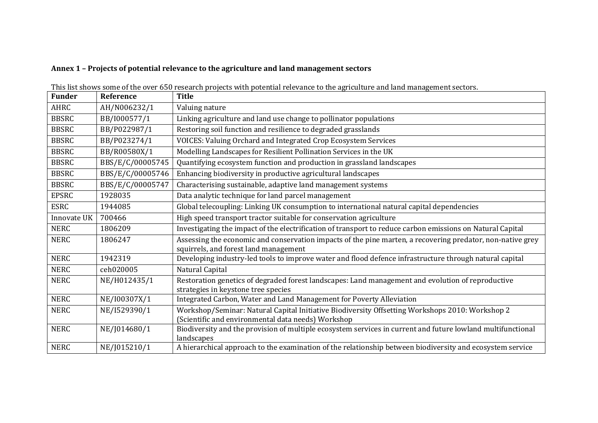# **Annex 1 – Projects of potential relevance to the agriculture and land management sectors**

| <b>Funder</b> | Reference        | <b>Title</b>                                                                                                                                          |
|---------------|------------------|-------------------------------------------------------------------------------------------------------------------------------------------------------|
| AHRC          | AH/N006232/1     | Valuing nature                                                                                                                                        |
| <b>BBSRC</b>  | BB/I000577/1     | Linking agriculture and land use change to pollinator populations                                                                                     |
| <b>BBSRC</b>  | BB/P022987/1     | Restoring soil function and resilience to degraded grasslands                                                                                         |
| <b>BBSRC</b>  | BB/P023274/1     | VOICES: Valuing Orchard and Integrated Crop Ecosystem Services                                                                                        |
| <b>BBSRC</b>  | BB/R00580X/1     | Modelling Landscapes for Resilient Pollination Services in the UK                                                                                     |
| <b>BBSRC</b>  | BBS/E/C/00005745 | Quantifying ecosystem function and production in grassland landscapes                                                                                 |
| <b>BBSRC</b>  | BBS/E/C/00005746 | Enhancing biodiversity in productive agricultural landscapes                                                                                          |
| <b>BBSRC</b>  | BBS/E/C/00005747 | Characterising sustainable, adaptive land management systems                                                                                          |
| <b>EPSRC</b>  | 1928035          | Data analytic technique for land parcel management                                                                                                    |
| <b>ESRC</b>   | 1944085          | Global telecoupling: Linking UK consumption to international natural capital dependencies                                                             |
| Innovate UK   | 700466           | High speed transport tractor suitable for conservation agriculture                                                                                    |
| <b>NERC</b>   | 1806209          | Investigating the impact of the electrification of transport to reduce carbon emissions on Natural Capital                                            |
| <b>NERC</b>   | 1806247          | Assessing the economic and conservation impacts of the pine marten, a recovering predator, non-native grey<br>squirrels, and forest land management   |
| <b>NERC</b>   | 1942319          | Developing industry-led tools to improve water and flood defence infrastructure through natural capital                                               |
| <b>NERC</b>   | ceh020005        | Natural Capital                                                                                                                                       |
| <b>NERC</b>   | NE/H012435/1     | Restoration genetics of degraded forest landscapes: Land management and evolution of reproductive<br>strategies in keystone tree species              |
| <b>NERC</b>   | NE/I00307X/1     | Integrated Carbon, Water and Land Management for Poverty Alleviation                                                                                  |
| <b>NERC</b>   | NE/I529390/1     | Workshop/Seminar: Natural Capital Initiative Biodiversity Offsetting Workshops 2010: Workshop 2<br>(Scientific and environmental data needs) Workshop |
| <b>NERC</b>   | NE/J014680/1     | Biodiversity and the provision of multiple ecosystem services in current and future lowland multifunctional<br>landscapes                             |
| <b>NERC</b>   | NE/J015210/1     | A hierarchical approach to the examination of the relationship between biodiversity and ecosystem service                                             |

This list shows some of the over 650 research projects with potential relevance to the agriculture and land management sectors.